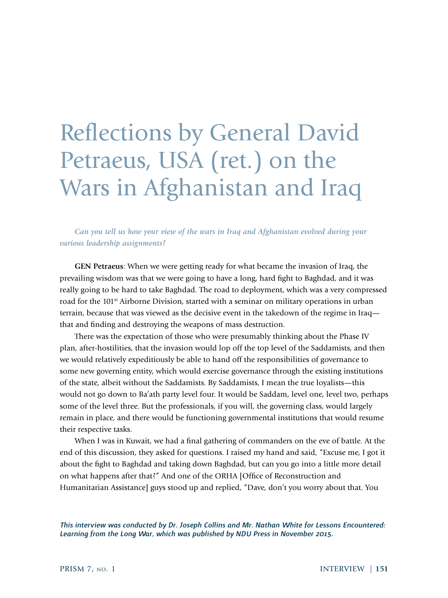# Reflections by General David Petraeus, USA (ret.) on the Wars in Afghanistan and Iraq

*Can you tell us how your view of the wars in Iraq and Afghanistan evolved during your various leadership assignments?*

**GEN Petraeus**: When we were getting ready for what became the invasion of Iraq, the prevailing wisdom was that we were going to have a long, hard fight to Baghdad, and it was really going to be hard to take Baghdad. The road to deployment, which was a very compressed road for the 101<sup>st</sup> Airborne Division, started with a seminar on military operations in urban terrain, because that was viewed as the decisive event in the takedown of the regime in Iraq that and finding and destroying the weapons of mass destruction.

There was the expectation of those who were presumably thinking about the Phase IV plan, after-hostilities, that the invasion would lop off the top level of the Saddamists, and then we would relatively expeditiously be able to hand off the responsibilities of governance to some new governing entity, which would exercise governance through the existing institutions of the state, albeit without the Saddamists. By Saddamists, I mean the true loyalists—this would not go down to Ba'ath party level four. It would be Saddam, level one, level two, perhaps some of the level three. But the professionals, if you will, the governing class, would largely remain in place, and there would be functioning governmental institutions that would resume their respective tasks.

When I was in Kuwait, we had a final gathering of commanders on the eve of battle. At the end of this discussion, they asked for questions. I raised my hand and said, "Excuse me, I got it about the fight to Baghdad and taking down Baghdad, but can you go into a little more detail on what happens after that?" And one of the ORHA [Office of Reconstruction and Humanitarian Assistance] guys stood up and replied, "Dave, don't you worry about that. You

*This interview was conducted by Dr. Joseph Collins and Mr. Nathan White for Lessons Encountered: Learning from the Long War, which was published by NDU Press in November 2015.*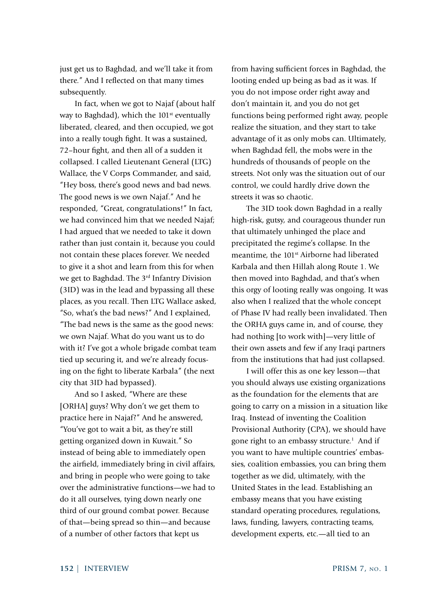just get us to Baghdad, and we'll take it from there." And I reflected on that many times subsequently.

In fact, when we got to Najaf (about half way to Baghdad), which the 101<sup>st</sup> eventually liberated, cleared, and then occupied, we got into a really tough fight. It was a sustained, 72–hour fight, and then all of a sudden it collapsed. I called Lieutenant General (LTG) Wallace, the V Corps Commander, and said, "Hey boss, there's good news and bad news. The good news is we own Najaf." And he responded, "Great, congratulations!" In fact, we had convinced him that we needed Najaf; I had argued that we needed to take it down rather than just contain it, because you could not contain these places forever. We needed to give it a shot and learn from this for when we get to Baghdad. The 3rd Infantry Division (3ID) was in the lead and bypassing all these places, as you recall. Then LTG Wallace asked, "So, what's the bad news?" And I explained, "The bad news is the same as the good news: we own Najaf. What do you want us to do with it? I've got a whole brigade combat team tied up securing it, and we're already focusing on the fight to liberate Karbala" (the next city that 3ID had bypassed).

And so I asked, "Where are these [ORHA] guys? Why don't we get them to practice here in Najaf?" And he answered, "You've got to wait a bit, as they're still getting organized down in Kuwait." So instead of being able to immediately open the airfield, immediately bring in civil affairs, and bring in people who were going to take over the administrative functions—we had to do it all ourselves, tying down nearly one third of our ground combat power. Because of that—being spread so thin—and because of a number of other factors that kept us

from having sufficient forces in Baghdad, the looting ended up being as bad as it was. If you do not impose order right away and don't maintain it, and you do not get functions being performed right away, people realize the situation, and they start to take advantage of it as only mobs can. Ultimately, when Baghdad fell, the mobs were in the hundreds of thousands of people on the streets. Not only was the situation out of our control, we could hardly drive down the streets it was so chaotic.

The 3ID took down Baghdad in a really high-risk, gutsy, and courageous thunder run that ultimately unhinged the place and precipitated the regime's collapse. In the meantime, the 101<sup>st</sup> Airborne had liberated Karbala and then Hillah along Route 1. We then moved into Baghdad, and that's when this orgy of looting really was ongoing. It was also when I realized that the whole concept of Phase IV had really been invalidated. Then the ORHA guys came in, and of course, they had nothing [to work with]—very little of their own assets and few if any Iraqi partners from the institutions that had just collapsed.

I will offer this as one key lesson—that you should always use existing organizations as the foundation for the elements that are going to carry on a mission in a situation like Iraq. Instead of inventing the Coalition Provisional Authority (CPA), we should have gone right to an embassy structure.<sup>1</sup> And if you want to have multiple countries' embassies, coalition embassies, you can bring them together as we did, ultimately, with the United States in the lead. Establishing an embassy means that you have existing standard operating procedures, regulations, laws, funding, lawyers, contracting teams, development experts, etc.—all tied to an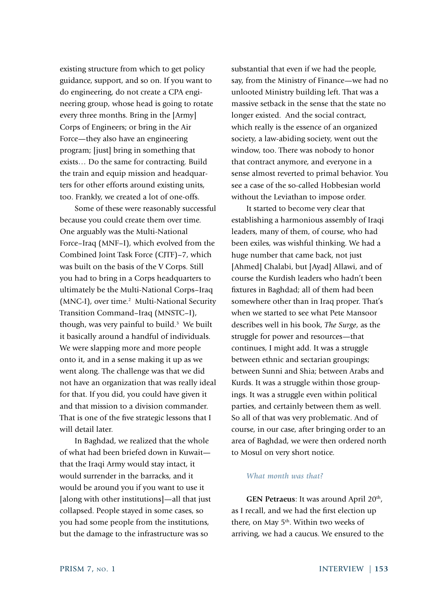existing structure from which to get policy guidance, support, and so on. If you want to do engineering, do not create a CPA engineering group, whose head is going to rotate every three months. Bring in the [Army] Corps of Engineers; or bring in the Air Force—they also have an engineering program; [just] bring in something that exists… Do the same for contracting. Build the train and equip mission and headquarters for other efforts around existing units, too. Frankly, we created a lot of one-offs.

Some of these were reasonably successful because you could create them over time. One arguably was the Multi-National Force–Iraq (MNF–I), which evolved from the Combined Joint Task Force (CJTF)–7, which was built on the basis of the V Corps. Still you had to bring in a Corps headquarters to ultimately be the Multi-National Corps–Iraq (MNC-I), over time.<sup>2</sup> Multi-National Security Transition Command–Iraq (MNSTC–I), though, was very painful to build.<sup>3</sup> We built it basically around a handful of individuals. We were slapping more and more people onto it, and in a sense making it up as we went along. The challenge was that we did not have an organization that was really ideal for that. If you did, you could have given it and that mission to a division commander. That is one of the five strategic lessons that I will detail later.

In Baghdad, we realized that the whole of what had been briefed down in Kuwait that the Iraqi Army would stay intact, it would surrender in the barracks, and it would be around you if you want to use it [along with other institutions]—all that just collapsed. People stayed in some cases, so you had some people from the institutions, but the damage to the infrastructure was so

substantial that even if we had the people, say, from the Ministry of Finance—we had no unlooted Ministry building left. That was a massive setback in the sense that the state no longer existed. And the social contract, which really is the essence of an organized society, a law-abiding society, went out the window, too. There was nobody to honor that contract anymore, and everyone in a sense almost reverted to primal behavior. You see a case of the so-called Hobbesian world without the Leviathan to impose order.

It started to become very clear that establishing a harmonious assembly of Iraqi leaders, many of them, of course, who had been exiles, was wishful thinking. We had a huge number that came back, not just [Ahmed] Chalabi, but [Ayad] Allawi, and of course the Kurdish leaders who hadn't been fixtures in Baghdad; all of them had been somewhere other than in Iraq proper. That's when we started to see what Pete Mansoor describes well in his book, *The Surge*, as the struggle for power and resources—that continues, I might add. It was a struggle between ethnic and sectarian groupings; between Sunni and Shia; between Arabs and Kurds. It was a struggle within those groupings. It was a struggle even within political parties, and certainly between them as well. So all of that was very problematic. And of course, in our case, after bringing order to an area of Baghdad, we were then ordered north to Mosul on very short notice.

#### *What month was that?*

**GEN Petraeus**: It was around April 20<sup>th</sup>, as I recall, and we had the first election up there, on May 5<sup>th</sup>. Within two weeks of arriving, we had a caucus. We ensured to the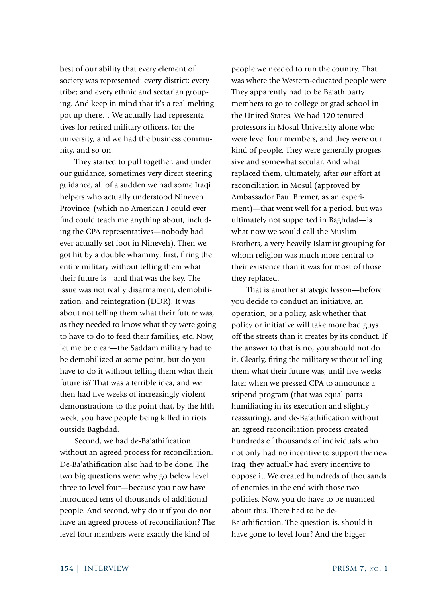best of our ability that every element of society was represented: every district; every tribe; and every ethnic and sectarian grouping. And keep in mind that it's a real melting pot up there… We actually had representatives for retired military officers, for the university, and we had the business community, and so on.

They started to pull together, and under our guidance, sometimes very direct steering guidance, all of a sudden we had some Iraqi helpers who actually understood Nineveh Province, (which no American I could ever find could teach me anything about, including the CPA representatives—nobody had ever actually set foot in Nineveh). Then we got hit by a double whammy; first, firing the entire military without telling them what their future is—and that was the key. The issue was not really disarmament, demobilization, and reintegration (DDR). It was about not telling them what their future was, as they needed to know what they were going to have to do to feed their families, etc. Now, let me be clear—the Saddam military had to be demobilized at some point, but do you have to do it without telling them what their future is? That was a terrible idea, and we then had five weeks of increasingly violent demonstrations to the point that, by the fifth week, you have people being killed in riots outside Baghdad.

Second, we had de-Ba'athification without an agreed process for reconciliation. De-Ba'athification also had to be done. The two big questions were: why go below level three to level four—because you now have introduced tens of thousands of additional people. And second, why do it if you do not have an agreed process of reconciliation? The level four members were exactly the kind of

people we needed to run the country. That was where the Western-educated people were. They apparently had to be Ba'ath party members to go to college or grad school in the United States. We had 120 tenured professors in Mosul University alone who were level four members, and they were our kind of people. They were generally progressive and somewhat secular. And what replaced them, ultimately, after *our* effort at reconciliation in Mosul (approved by Ambassador Paul Bremer, as an experiment)—that went well for a period, but was ultimately not supported in Baghdad—is what now we would call the Muslim Brothers, a very heavily Islamist grouping for whom religion was much more central to their existence than it was for most of those they replaced.

That is another strategic lesson—before you decide to conduct an initiative, an operation, or a policy, ask whether that policy or initiative will take more bad guys off the streets than it creates by its conduct. If the answer to that is no, you should not do it. Clearly, firing the military without telling them what their future was, until five weeks later when we pressed CPA to announce a stipend program (that was equal parts humiliating in its execution and slightly reassuring), and de-Ba'athification without an agreed reconciliation process created hundreds of thousands of individuals who not only had no incentive to support the new Iraq, they actually had every incentive to oppose it. We created hundreds of thousands of enemies in the end with those two policies. Now, you do have to be nuanced about this. There had to be de-Ba'athification. The question is, should it have gone to level four? And the bigger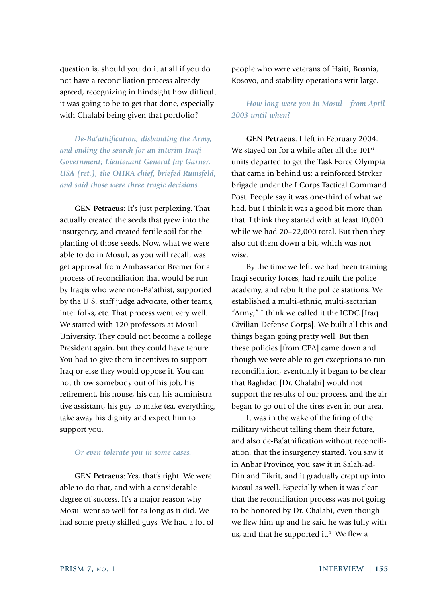question is, should you do it at all if you do not have a reconciliation process already agreed, recognizing in hindsight how difficult it was going to be to get that done, especially with Chalabi being given that portfolio?

*De-Ba'athification, disbanding the Army, and ending the search for an interim Iraqi Government; Lieutenant General Jay Garner, USA (ret.), the OHRA chief, briefed Rumsfeld, and said those were three tragic decisions.*

**GEN Petraeus**: It's just perplexing. That actually created the seeds that grew into the insurgency, and created fertile soil for the planting of those seeds. Now, what we were able to do in Mosul, as you will recall, was get approval from Ambassador Bremer for a process of reconciliation that would be run by Iraqis who were non-Ba'athist, supported by the U.S. staff judge advocate, other teams, intel folks, etc. That process went very well. We started with 120 professors at Mosul University. They could not become a college President again, but they could have tenure. You had to give them incentives to support Iraq or else they would oppose it. You can not throw somebody out of his job, his retirement, his house, his car, his administrative assistant, his guy to make tea, everything, take away his dignity and expect him to support you.

#### *Or even tolerate you in some cases.*

**GEN Petraeus**: Yes, that's right. We were able to do that, and with a considerable degree of success. It's a major reason why Mosul went so well for as long as it did. We had some pretty skilled guys. We had a lot of people who were veterans of Haiti, Bosnia, Kosovo, and stability operations writ large.

# *How long were you in Mosul—from April 2003 until when?*

**GEN Petraeus**: I left in February 2004. We stayed on for a while after all the 101<sup>st</sup> units departed to get the Task Force Olympia that came in behind us; a reinforced Stryker brigade under the I Corps Tactical Command Post. People say it was one-third of what we had, but I think it was a good bit more than that. I think they started with at least 10,000 while we had 20–22,000 total. But then they also cut them down a bit, which was not wise.

By the time we left, we had been training Iraqi security forces, had rebuilt the police academy, and rebuilt the police stations. We established a multi-ethnic, multi-sectarian "Army;" I think we called it the ICDC [Iraq Civilian Defense Corps]. We built all this and things began going pretty well. But then these policies [from CPA] came down and though we were able to get exceptions to run reconciliation, eventually it began to be clear that Baghdad [Dr. Chalabi] would not support the results of our process, and the air began to go out of the tires even in our area.

It was in the wake of the firing of the military without telling them their future, and also de-Ba'athification without reconciliation, that the insurgency started. You saw it in Anbar Province, you saw it in Salah-ad-Din and Tikrit, and it gradually crept up into Mosul as well. Especially when it was clear that the reconciliation process was not going to be honored by Dr. Chalabi, even though we flew him up and he said he was fully with us, and that he supported it.<sup>4</sup> We flew a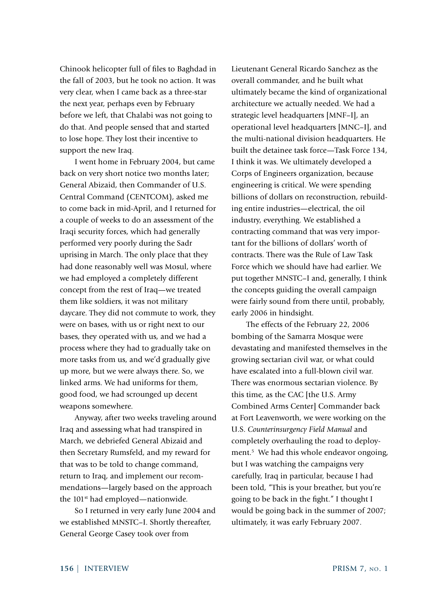Chinook helicopter full of files to Baghdad in the fall of 2003, but he took no action. It was very clear, when I came back as a three-star the next year, perhaps even by February before we left, that Chalabi was not going to do that. And people sensed that and started to lose hope. They lost their incentive to support the new Iraq.

I went home in February 2004, but came back on very short notice two months later; General Abizaid, then Commander of U.S. Central Command (CENTCOM), asked me to come back in mid-April, and I returned for a couple of weeks to do an assessment of the Iraqi security forces, which had generally performed very poorly during the Sadr uprising in March. The only place that they had done reasonably well was Mosul, where we had employed a completely different concept from the rest of Iraq—we treated them like soldiers, it was not military daycare. They did not commute to work, they were on bases, with us or right next to our bases, they operated with us, and we had a process where they had to gradually take on more tasks from us, and we'd gradually give up more, but we were always there. So, we linked arms. We had uniforms for them, good food, we had scrounged up decent weapons somewhere.

Anyway, after two weeks traveling around Iraq and assessing what had transpired in March, we debriefed General Abizaid and then Secretary Rumsfeld, and my reward for that was to be told to change command, return to Iraq, and implement our recommendations—largely based on the approach the 101<sup>st</sup> had employed—nationwide.

So I returned in very early June 2004 and we established MNSTC–I. Shortly thereafter, General George Casey took over from

Lieutenant General Ricardo Sanchez as the overall commander, and he built what ultimately became the kind of organizational architecture we actually needed. We had a strategic level headquarters [MNF–I], an operational level headquarters [MNC–I], and the multi-national division headquarters. He built the detainee task force—Task Force 134, I think it was. We ultimately developed a Corps of Engineers organization, because engineering is critical. We were spending billions of dollars on reconstruction, rebuilding entire industries—electrical, the oil industry, everything. We established a contracting command that was very important for the billions of dollars' worth of contracts. There was the Rule of Law Task Force which we should have had earlier. We put together MNSTC–I and, generally, I think the concepts guiding the overall campaign were fairly sound from there until, probably, early 2006 in hindsight.

The effects of the February 22, 2006 bombing of the Samarra Mosque were devastating and manifested themselves in the growing sectarian civil war, or what could have escalated into a full-blown civil war. There was enormous sectarian violence. By this time, as the CAC [the U.S. Army Combined Arms Center] Commander back at Fort Leavenworth, we were working on the U.S. *Counterinsurgency Field Manual* and completely overhauling the road to deployment.<sup>5</sup> We had this whole endeavor ongoing, but I was watching the campaigns very carefully, Iraq in particular, because I had been told, "This is your breather, but you're going to be back in the fight." I thought I would be going back in the summer of 2007; ultimately, it was early February 2007.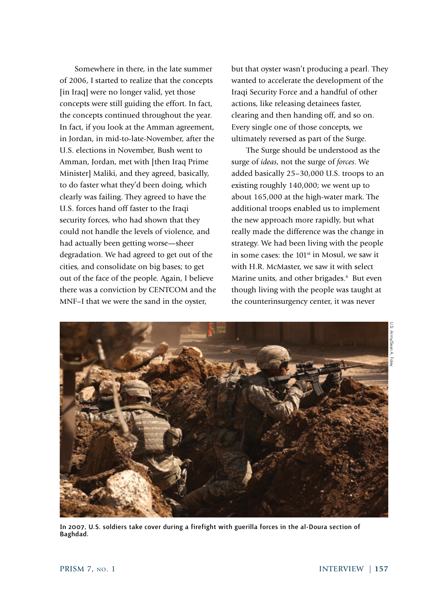Somewhere in there, in the late summer of 2006, I started to realize that the concepts [in Iraq] were no longer valid, yet those concepts were still guiding the effort. In fact, the concepts continued throughout the year. In fact, if you look at the Amman agreement, in Jordan, in mid-to-late-November, after the U.S. elections in November, Bush went to Amman, Jordan, met with [then Iraq Prime Minister] Maliki, and they agreed, basically, to do faster what they'd been doing, which clearly was failing. They agreed to have the U.S. forces hand off faster to the Iraqi security forces, who had shown that they could not handle the levels of violence, and had actually been getting worse—sheer degradation. We had agreed to get out of the cities, and consolidate on big bases; to get out of the face of the people. Again, I believe there was a conviction by CENTCOM and the MNF–I that we were the sand in the oyster,

but that oyster wasn't producing a pearl. They wanted to accelerate the development of the Iraqi Security Force and a handful of other actions, like releasing detainees faster, clearing and then handing off, and so on. Every single one of those concepts, we ultimately reversed as part of the Surge.

The Surge should be understood as the surge of *ideas*, not the surge of *forces*. We added basically 25–30,000 U.S. troops to an existing roughly 140,000; we went up to about 165,000 at the high-water mark. The additional troops enabled us to implement the new approach more rapidly, but what really made the difference was the change in strategy. We had been living with the people in some cases: the  $101<sup>st</sup>$  in Mosul, we saw it with H.R. McMaster, we saw it with select Marine units, and other brigades.<sup>6</sup> But even though living with the people was taught at the counterinsurgency center, it was never





In 2007, U.S. soldiers take cover during a firefight with guerilla forces in the al-Doura section of Baghdad.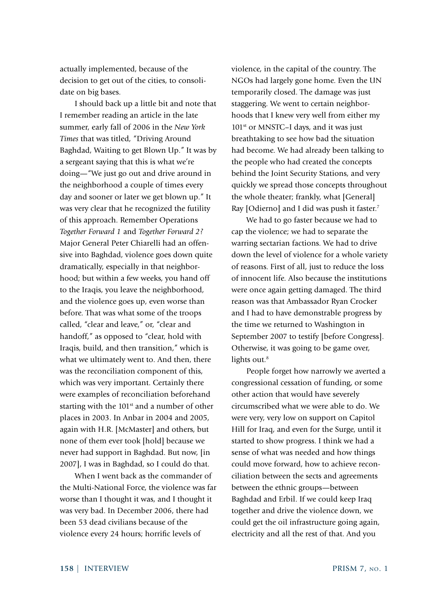actually implemented, because of the decision to get out of the cities, to consolidate on big bases.

I should back up a little bit and note that I remember reading an article in the late summer, early fall of 2006 in the *New York Times* that was titled, "Driving Around Baghdad, Waiting to get Blown Up." It was by a sergeant saying that this is what we're doing—"We just go out and drive around in the neighborhood a couple of times every day and sooner or later we get blown up." It was very clear that he recognized the futility of this approach. Remember Operations *Together Forward 1* and *Together Forward 2?* Major General Peter Chiarelli had an offensive into Baghdad, violence goes down quite dramatically, especially in that neighborhood; but within a few weeks, you hand off to the Iraqis, you leave the neighborhood, and the violence goes up, even worse than before. That was what some of the troops called, "clear and leave," or, "clear and handoff," as opposed to "clear, hold with Iraqis, build, and then transition," which is what we ultimately went to. And then, there was the reconciliation component of this, which was very important. Certainly there were examples of reconciliation beforehand starting with the  $101<sup>st</sup>$  and a number of other places in 2003. In Anbar in 2004 and 2005, again with H.R. [McMaster] and others, but none of them ever took [hold] because we never had support in Baghdad. But now, [in 2007], I was in Baghdad, so I could do that.

When I went back as the commander of the Multi-National Force, the violence was far worse than I thought it was, and I thought it was very bad. In December 2006, there had been 53 dead civilians because of the violence every 24 hours; horrific levels of

violence, in the capital of the country. The NGOs had largely gone home. Even the UN temporarily closed. The damage was just staggering. We went to certain neighborhoods that I knew very well from either my 101<sup>st</sup> or MNSTC–I days, and it was just breathtaking to see how bad the situation had become. We had already been talking to the people who had created the concepts behind the Joint Security Stations, and very quickly we spread those concepts throughout the whole theater; frankly, what [General] Ray [Odierno] and I did was push it faster.<sup>7</sup>

We had to go faster because we had to cap the violence; we had to separate the warring sectarian factions. We had to drive down the level of violence for a whole variety of reasons. First of all, just to reduce the loss of innocent life. Also because the institutions were once again getting damaged. The third reason was that Ambassador Ryan Crocker and I had to have demonstrable progress by the time we returned to Washington in September 2007 to testify [before Congress]. Otherwise, it was going to be game over, lights out.<sup>8</sup>

People forget how narrowly we averted a congressional cessation of funding, or some other action that would have severely circumscribed what we were able to do. We were very, very low on support on Capitol Hill for Iraq, and even for the Surge, until it started to show progress. I think we had a sense of what was needed and how things could move forward, how to achieve reconciliation between the sects and agreements between the ethnic groups—between Baghdad and Erbil. If we could keep Iraq together and drive the violence down, we could get the oil infrastructure going again, electricity and all the rest of that. And you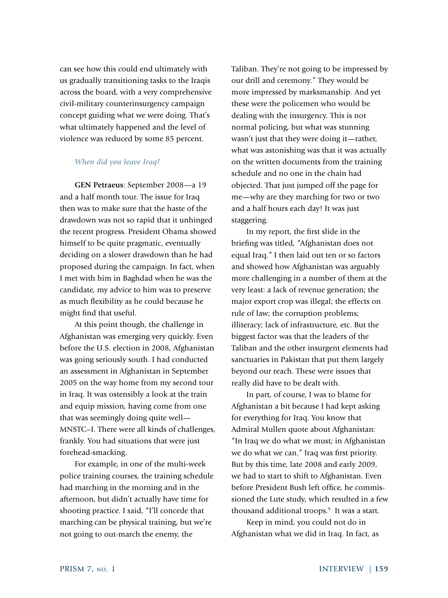can see how this could end ultimately with us gradually transitioning tasks to the Iraqis across the board, with a very comprehensive civil-military counterinsurgency campaign concept guiding what we were doing. That's what ultimately happened and the level of violence was reduced by some 85 percent.

### *When did you leave Iraq?*

**GEN Petraeus**: September 2008—a 19 and a half month tour. The issue for Iraq then was to make sure that the haste of the drawdown was not so rapid that it unhinged the recent progress. President Obama showed himself to be quite pragmatic, eventually deciding on a slower drawdown than he had proposed during the campaign. In fact, when I met with him in Baghdad when he was the candidate, my advice to him was to preserve as much flexibility as he could because he might find that useful.

At this point though, the challenge in Afghanistan was emerging very quickly. Even before the U.S. election in 2008, Afghanistan was going seriously south. I had conducted an assessment in Afghanistan in September 2005 on the way home from my second tour in Iraq. It was ostensibly a look at the train and equip mission, having come from one that was seemingly doing quite well— MNSTC–I. There were all kinds of challenges, frankly. You had situations that were just forehead-smacking.

For example, in one of the multi-week police training courses, the training schedule had marching in the morning and in the afternoon, but didn't actually have time for shooting practice. I said, "I'll concede that marching can be physical training, but we're not going to out-march the enemy, the

Taliban. They're not going to be impressed by our drill and ceremony." They would be more impressed by marksmanship. And yet these were the policemen who would be dealing with the insurgency. This is not normal policing, but what was stunning wasn't just that they were doing it—rather, what was astonishing was that it was actually on the written documents from the training schedule and no one in the chain had objected. That just jumped off the page for me—why are they marching for two or two and a half hours each day! It was just staggering.

In my report, the first slide in the briefing was titled, "Afghanistan does not equal Iraq." I then laid out ten or so factors and showed how Afghanistan was arguably more challenging in a number of them at the very least: a lack of revenue generation; the major export crop was illegal; the effects on rule of law; the corruption problems; illiteracy; lack of infrastructure, etc. But the biggest factor was that the leaders of the Taliban and the other insurgent elements had sanctuaries in Pakistan that put them largely beyond our reach. These were issues that really did have to be dealt with.

In part, of course, I was to blame for Afghanistan a bit because I had kept asking for everything for Iraq. You know that Admiral Mullen quote about Afghanistan: "In Iraq we do what we must; in Afghanistan we do what we can." Iraq was first priority. But by this time, late 2008 and early 2009, we had to start to shift to Afghanistan. Even before President Bush left office, he commissioned the Lute study, which resulted in a few thousand additional troops.<sup>9</sup> It was a start.

Keep in mind, you could not do in Afghanistan what we did in Iraq. In fact, as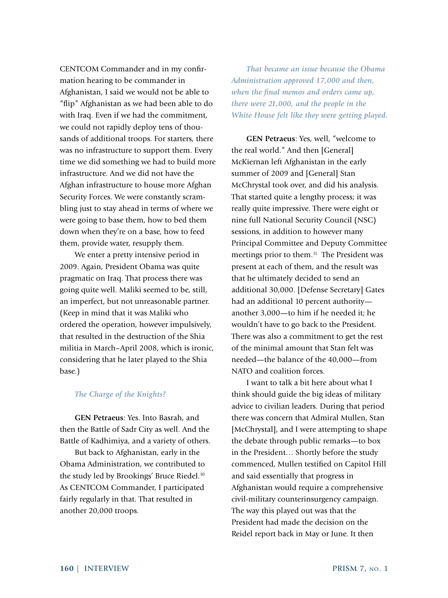CENTCOM Commander and in my confirmation hearing to be commander in Afghanistan, I said we would not be able to "flip" Afghanistan as we had been able to do with Iraq. Even if we had the commitment, we could not rapidly deploy tens of thousands of additional troops. For starters, there was no infrastructure to support them. Every time we did something we had to build more infrastructure. And we did not have the Afghan infrastructure to house more Afghan Security Forces. We were constantly scrambling just to stay ahead in terms of where we were going to base them, how to bed them down when they're on a base, how to feed them, provide water, resupply them.

We enter a pretty intensive period in 2009. Again, President Obama was quite pragmatic on Iraq. That process there was going quite well. Maliki seemed to be, still, an imperfect, but not unreasonable partner. (Keep in mind that it was Maliki who ordered the operation, however impulsively, that resulted in the destruction of the Shia militia in March–April 2008, which is ironic, considering that he later played to the Shia base.)

## *The Charge of the Knights?*

**GEN Petraeus**: Yes. Into Basrah, and then the Battle of Sadr City as well. And the Battle of Kadhimiya, and a variety of others.

But back to Afghanistan, early in the Obama Administration, we contributed to the study led by Brookings' Bruce Riedel.10 As CENTCOM Commander, I participated fairly regularly in that. That resulted in another 20,000 troops.

*That became an issue because the Obama Administration approved 17,000 and then, when the final memos and orders came up, there were 21,000, and the people in the White House felt like they were getting played.*

**GEN Petraeus**: Yes, well, "welcome to the real world." And then [General] McKiernan left Afghanistan in the early summer of 2009 and [General] Stan McChrystal took over, and did his analysis. That started quite a lengthy process; it was really quite impressive. There were eight or nine full National Security Council (NSC) sessions, in addition to however many Principal Committee and Deputy Committee meetings prior to them.<sup>11</sup> The President was present at each of them, and the result was that he ultimately decided to send an additional 30,000. [Defense Secretary] Gates had an additional 10 percent authority another 3,000—to him if he needed it; he wouldn't have to go back to the President. There was also a commitment to get the rest of the minimal amount that Stan felt was needed—the balance of the 40,000—from NATO and coalition forces.

I want to talk a bit here about what I think should guide the big ideas of military advice to civilian leaders. During that period there was concern that Admiral Mullen, Stan [McChrystal], and I were attempting to shape the debate through public remarks—to box in the President… Shortly before the study commenced, Mullen testified on Capitol Hill and said essentially that progress in Afghanistan would require a comprehensive civil-military counterinsurgency campaign. The way this played out was that the President had made the decision on the Reidel report back in May or June. It then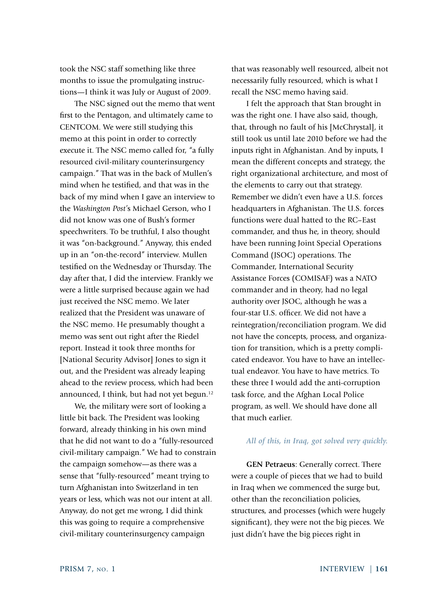took the NSC staff something like three months to issue the promulgating instructions—I think it was July or August of 2009.

The NSC signed out the memo that went first to the Pentagon, and ultimately came to CENTCOM. We were still studying this memo at this point in order to correctly execute it. The NSC memo called for, "a fully resourced civil-military counterinsurgency campaign." That was in the back of Mullen's mind when he testified, and that was in the back of my mind when I gave an interview to the *Washington Post'*s Michael Gerson, who I did not know was one of Bush's former speechwriters. To be truthful, I also thought it was "on-background." Anyway, this ended up in an "on-the-record" interview. Mullen testified on the Wednesday or Thursday. The day after that, I did the interview. Frankly we were a little surprised because again we had just received the NSC memo. We later realized that the President was unaware of the NSC memo. He presumably thought a memo was sent out right after the Riedel report. Instead it took three months for [National Security Advisor] Jones to sign it out, and the President was already leaping ahead to the review process, which had been announced, I think, but had not yet begun.<sup>12</sup>

We, the military were sort of looking a little bit back. The President was looking forward, already thinking in his own mind that he did not want to do a "fully-resourced civil-military campaign." We had to constrain the campaign somehow—as there was a sense that "fully-resourced" meant trying to turn Afghanistan into Switzerland in ten years or less, which was not our intent at all. Anyway, do not get me wrong, I did think this was going to require a comprehensive civil-military counterinsurgency campaign

that was reasonably well resourced, albeit not necessarily fully resourced, which is what I recall the NSC memo having said.

I felt the approach that Stan brought in was the right one. I have also said, though, that, through no fault of his [McChrystal], it still took us until late 2010 before we had the inputs right in Afghanistan. And by inputs, I mean the different concepts and strategy, the right organizational architecture, and most of the elements to carry out that strategy. Remember we didn't even have a U.S. forces headquarters in Afghanistan. The U.S. forces functions were dual hatted to the RC–East commander, and thus he, in theory, should have been running Joint Special Operations Command (JSOC) operations. The Commander, International Security Assistance Forces (COMISAF) was a NATO commander and in theory, had no legal authority over JSOC, although he was a four-star U.S. officer. We did not have a reintegration/reconciliation program. We did not have the concepts, process, and organization for transition, which is a pretty complicated endeavor. You have to have an intellectual endeavor. You have to have metrics. To these three I would add the anti-corruption task force, and the Afghan Local Police program, as well. We should have done all that much earlier.

### *All of this, in Iraq, got solved very quickly.*

**GEN Petraeus**: Generally correct. There were a couple of pieces that we had to build in Iraq when we commenced the surge but, other than the reconciliation policies, structures, and processes (which were hugely significant), they were not the big pieces. We just didn't have the big pieces right in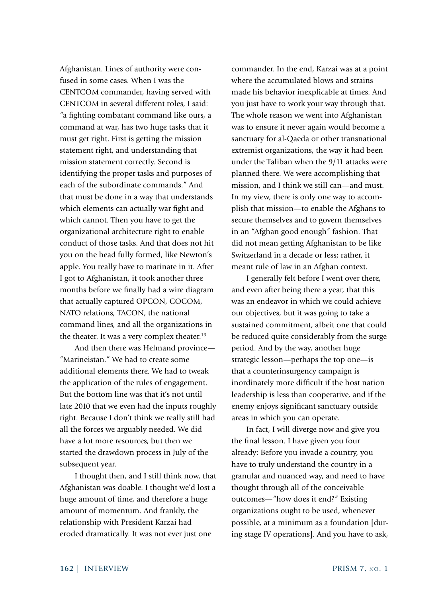Afghanistan. Lines of authority were confused in some cases. When I was the CENTCOM commander, having served with CENTCOM in several different roles, I said: "a fighting combatant command like ours, a command at war, has two huge tasks that it must get right. First is getting the mission statement right, and understanding that mission statement correctly. Second is identifying the proper tasks and purposes of each of the subordinate commands." And that must be done in a way that understands which elements can actually war fight and which cannot. Then you have to get the organizational architecture right to enable conduct of those tasks. And that does not hit you on the head fully formed, like Newton's apple. You really have to marinate in it. After I got to Afghanistan, it took another three months before we finally had a wire diagram that actually captured OPCON, COCOM, NATO relations, TACON, the national command lines, and all the organizations in the theater. It was a very complex theater.<sup>13</sup>

And then there was Helmand province— "Marineistan." We had to create some additional elements there. We had to tweak the application of the rules of engagement. But the bottom line was that it's not until late 2010 that we even had the inputs roughly right. Because I don't think we really still had all the forces we arguably needed. We did have a lot more resources, but then we started the drawdown process in July of the subsequent year.

I thought then, and I still think now, that Afghanistan was doable. I thought we'd lost a huge amount of time, and therefore a huge amount of momentum. And frankly, the relationship with President Karzai had eroded dramatically. It was not ever just one

commander. In the end, Karzai was at a point where the accumulated blows and strains made his behavior inexplicable at times. And you just have to work your way through that. The whole reason we went into Afghanistan was to ensure it never again would become a sanctuary for al-Qaeda or other transnational extremist organizations, the way it had been under the Taliban when the 9/11 attacks were planned there. We were accomplishing that mission, and I think we still can—and must. In my view, there is only one way to accomplish that mission—to enable the Afghans to secure themselves and to govern themselves in an "Afghan good enough" fashion. That did not mean getting Afghanistan to be like Switzerland in a decade or less; rather, it meant rule of law in an Afghan context.

I generally felt before I went over there, and even after being there a year, that this was an endeavor in which we could achieve our objectives, but it was going to take a sustained commitment, albeit one that could be reduced quite considerably from the surge period. And by the way, another huge strategic lesson—perhaps the top one—is that a counterinsurgency campaign is inordinately more difficult if the host nation leadership is less than cooperative, and if the enemy enjoys significant sanctuary outside areas in which you can operate.

In fact, I will diverge now and give you the final lesson. I have given you four already: Before you invade a country, you have to truly understand the country in a granular and nuanced way, and need to have thought through all of the conceivable outcomes—"how does it end?" Existing organizations ought to be used, whenever possible, at a minimum as a foundation [during stage IV operations]. And you have to ask,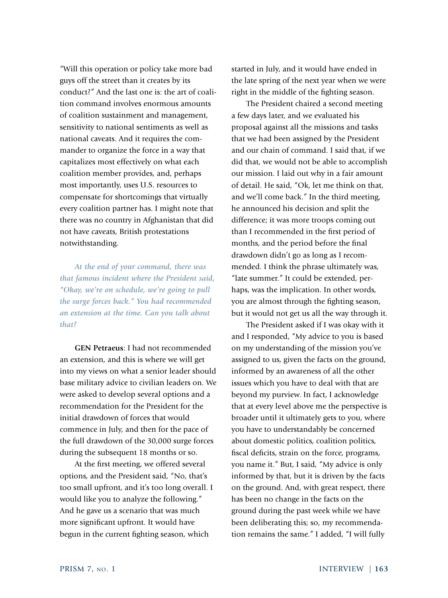"Will this operation or policy take more bad guys off the street than it creates by its conduct?" And the last one is: the art of coalition command involves enormous amounts of coalition sustainment and management, sensitivity to national sentiments as well as national caveats. And it requires the commander to organize the force in a way that capitalizes most effectively on what each coalition member provides, and, perhaps most importantly, uses U.S. resources to compensate for shortcomings that virtually every coalition partner has. I might note that there was no country in Afghanistan that did not have caveats, British protestations notwithstanding.

*At the end of your command, there was that famous incident where the President said, "Okay, we're on schedule, we're going to pull the surge forces back." You had recommended an extension at the time. Can you talk about that?*

**GEN Petraeus**: I had not recommended an extension, and this is where we will get into my views on what a senior leader should base military advice to civilian leaders on. We were asked to develop several options and a recommendation for the President for the initial drawdown of forces that would commence in July, and then for the pace of the full drawdown of the 30,000 surge forces during the subsequent 18 months or so.

At the first meeting, we offered several options, and the President said, "No, that's too small upfront, and it's too long overall. I would like you to analyze the following." And he gave us a scenario that was much more significant upfront. It would have begun in the current fighting season, which

started in July, and it would have ended in the late spring of the next year when we were right in the middle of the fighting season.

The President chaired a second meeting a few days later, and we evaluated his proposal against all the missions and tasks that we had been assigned by the President and our chain of command. I said that, if we did that, we would not be able to accomplish our mission. I laid out why in a fair amount of detail. He said, "Ok, let me think on that, and we'll come back." In the third meeting, he announced his decision and split the difference; it was more troops coming out than I recommended in the first period of months, and the period before the final drawdown didn't go as long as I recommended. I think the phrase ultimately was, "late summer." It could be extended, perhaps, was the implication. In other words, you are almost through the fighting season, but it would not get us all the way through it.

The President asked if I was okay with it and I responded, "My advice to you is based on my understanding of the mission you've assigned to us, given the facts on the ground, informed by an awareness of all the other issues which you have to deal with that are beyond my purview. In fact, I acknowledge that at every level above me the perspective is broader until it ultimately gets to you, where you have to understandably be concerned about domestic politics, coalition politics, fiscal deficits, strain on the force, programs, you name it." But, I said, "My advice is only informed by that, but it is driven by the facts on the ground. And, with great respect, there has been no change in the facts on the ground during the past week while we have been deliberating this; so, my recommendation remains the same." I added, "I will fully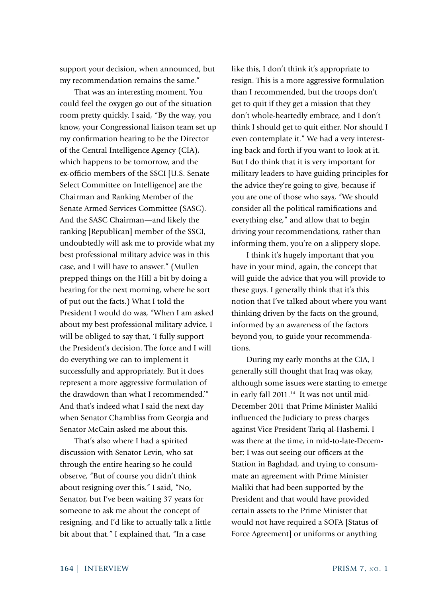support your decision, when announced, but my recommendation remains the same."

That was an interesting moment. You could feel the oxygen go out of the situation room pretty quickly. I said, "By the way, you know, your Congressional liaison team set up my confirmation hearing to be the Director of the Central Intelligence Agency (CIA), which happens to be tomorrow, and the ex-officio members of the SSCI [U.S. Senate Select Committee on Intelligence] are the Chairman and Ranking Member of the Senate Armed Services Committee (SASC). And the SASC Chairman—and likely the ranking [Republican] member of the SSCI, undoubtedly will ask me to provide what my best professional military advice was in this case, and I will have to answer." (Mullen prepped things on the Hill a bit by doing a hearing for the next morning, where he sort of put out the facts.) What I told the President I would do was, "When I am asked about my best professional military advice, I will be obliged to say that, 'I fully support the President's decision. The force and I will do everything we can to implement it successfully and appropriately. But it does represent a more aggressive formulation of the drawdown than what I recommended.'" And that's indeed what I said the next day when Senator Chambliss from Georgia and Senator McCain asked me about this.

That's also where I had a spirited discussion with Senator Levin, who sat through the entire hearing so he could observe, "But of course you didn't think about resigning over this." I said, "No, Senator, but I've been waiting 37 years for someone to ask me about the concept of resigning, and I'd like to actually talk a little bit about that." I explained that, "In a case

like this, I don't think it's appropriate to resign. This is a more aggressive formulation than I recommended, but the troops don't get to quit if they get a mission that they don't whole-heartedly embrace, and I don't think I should get to quit either. Nor should I even contemplate it." We had a very interesting back and forth if you want to look at it. But I do think that it is very important for military leaders to have guiding principles for the advice they're going to give, because if you are one of those who says, "We should consider all the political ramifications and everything else," and allow that to begin driving your recommendations, rather than informing them, you're on a slippery slope.

I think it's hugely important that you have in your mind, again, the concept that will guide the advice that you will provide to these guys. I generally think that it's this notion that I've talked about where you want thinking driven by the facts on the ground, informed by an awareness of the factors beyond you, to guide your recommendations.

During my early months at the CIA, I generally still thought that Iraq was okay, although some issues were starting to emerge in early fall 2011.<sup>14</sup> It was not until mid-December 2011 that Prime Minister Maliki influenced the Judiciary to press charges against Vice President Tariq al-Hashemi. I was there at the time, in mid-to-late-December; I was out seeing our officers at the Station in Baghdad, and trying to consummate an agreement with Prime Minister Maliki that had been supported by the President and that would have provided certain assets to the Prime Minister that would not have required a SOFA [Status of Force Agreement] or uniforms or anything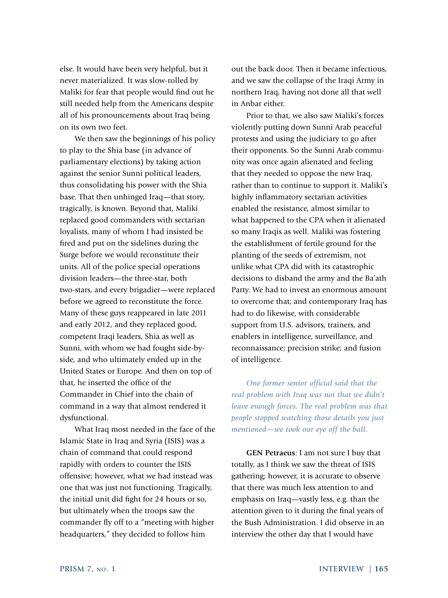else. It would have been very helpful, but it never materialized. It was slow-rolled by Maliki for fear that people would find out he still needed help from the Americans despite all of his pronouncements about Iraq being on its own two feet.

We then saw the beginnings of his policy to play to the Shia base (in advance of parliamentary elections) by taking action against the senior Sunni political leaders, thus consolidating his power with the Shia base. That then unhinged Iraq—that story, tragically, is known. Beyond that, Maliki replaced good commanders with sectarian loyalists, many of whom I had insisted be fired and put on the sidelines during the Surge before we would reconstitute their units. All of the police special operations division leaders—the three-star, both two-stars, and every brigadier—were replaced before we agreed to reconstitute the force. Many of these guys reappeared in late 2011 and early 2012, and they replaced good, competent Iraqi leaders, Shia as well as Sunni, with whom we had fought side-byside, and who ultimately ended up in the United States or Europe. And then on top of that, he inserted the office of the Commander in Chief into the chain of command in a way that almost rendered it dysfunctional.

What Iraq most needed in the face of the Islamic State in Iraq and Syria (ISIS) was a chain of command that could respond rapidly with orders to counter the ISIS offensive; however, what we had instead was one that was just not functioning. Tragically, the initial unit did fight for 24 hours or so, but ultimately when the troops saw the commander fly off to a "meeting with higher headquarters," they decided to follow him

out the back door. Then it became infectious, and we saw the collapse of the Iraqi Army in northern Iraq, having not done all that well in Anbar either.

Prior to that, we also saw Maliki's forces violently putting down Sunni Arab peaceful protests and using the judiciary to go after their opponents. So the Sunni Arab community was once again alienated and feeling that they needed to oppose the new Iraq, rather than to continue to support it. Maliki's highly inflammatory sectarian activities enabled the resistance, almost similar to what happened to the CPA when it alienated so many Iraqis as well. Maliki was fostering the establishment of fertile ground for the planting of the seeds of extremism, not unlike what CPA did with its catastrophic decisions to disband the army and the Ba'ath Party. We had to invest an enormous amount to overcome that; and contemporary Iraq has had to do likewise, with considerable support from U.S. advisors, trainers, and enablers in intelligence, surveillance, and reconnaissance; precision strike; and fusion of intelligence.

*One former senior official said that the real problem with Iraq was not that we didn't leave enough forces. The real problem was that people stopped watching those details you just mentioned—we took our eye off the ball.* 

**GEN Petraeus**: I am not sure I buy that totally, as I think we saw the threat of ISIS gathering; however, it is accurate to observe that there was much less attention to and emphasis on Iraq—vastly less, e.g. than the attention given to it during the final years of the Bush Administration. I did observe in an interview the other day that I would have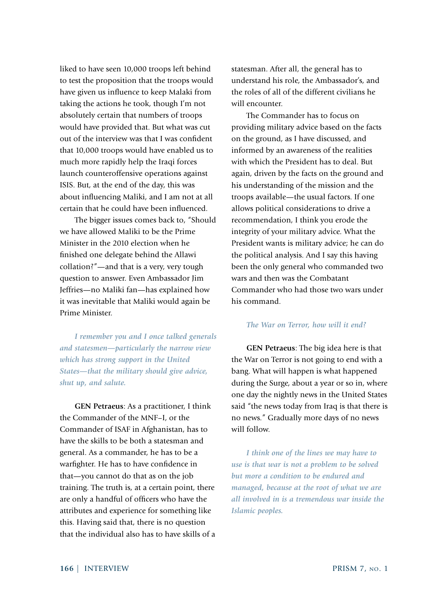liked to have seen 10,000 troops left behind to test the proposition that the troops would have given us influence to keep Malaki from taking the actions he took, though I'm not absolutely certain that numbers of troops would have provided that. But what was cut out of the interview was that I was confident that 10,000 troops would have enabled us to much more rapidly help the Iraqi forces launch counteroffensive operations against ISIS. But, at the end of the day, this was about influencing Maliki, and I am not at all certain that he could have been influenced.

The bigger issues comes back to, "Should we have allowed Maliki to be the Prime Minister in the 2010 election when he finished one delegate behind the Allawi collation?"—and that is a very, very tough question to answer. Even Ambassador Jim Jeffries—no Maliki fan—has explained how it was inevitable that Maliki would again be Prime Minister.

*I remember you and I once talked generals and statesmen—particularly the narrow view which has strong support in the United States—that the military should give advice, shut up, and salute.* 

**GEN Petraeus**: As a practitioner, I think the Commander of the MNF–I, or the Commander of ISAF in Afghanistan, has to have the skills to be both a statesman and general. As a commander, he has to be a warfighter. He has to have confidence in that—you cannot do that as on the job training. The truth is, at a certain point, there are only a handful of officers who have the attributes and experience for something like this. Having said that, there is no question that the individual also has to have skills of a statesman. After all, the general has to understand his role, the Ambassador's, and the roles of all of the different civilians he will encounter.

The Commander has to focus on providing military advice based on the facts on the ground, as I have discussed, and informed by an awareness of the realities with which the President has to deal. But again, driven by the facts on the ground and his understanding of the mission and the troops available—the usual factors. If one allows political considerations to drive a recommendation, I think you erode the integrity of your military advice. What the President wants is military advice; he can do the political analysis. And I say this having been the only general who commanded two wars and then was the Combatant Commander who had those two wars under his command.

#### *The War on Terror, how will it end?*

**GEN Petraeus**: The big idea here is that the War on Terror is not going to end with a bang. What will happen is what happened during the Surge, about a year or so in, where one day the nightly news in the United States said "the news today from Iraq is that there is no news." Gradually more days of no news will follow.

*I think one of the lines we may have to use is that war is not a problem to be solved but more a condition to be endured and managed, because at the root of what we are all involved in is a tremendous war inside the Islamic peoples.*